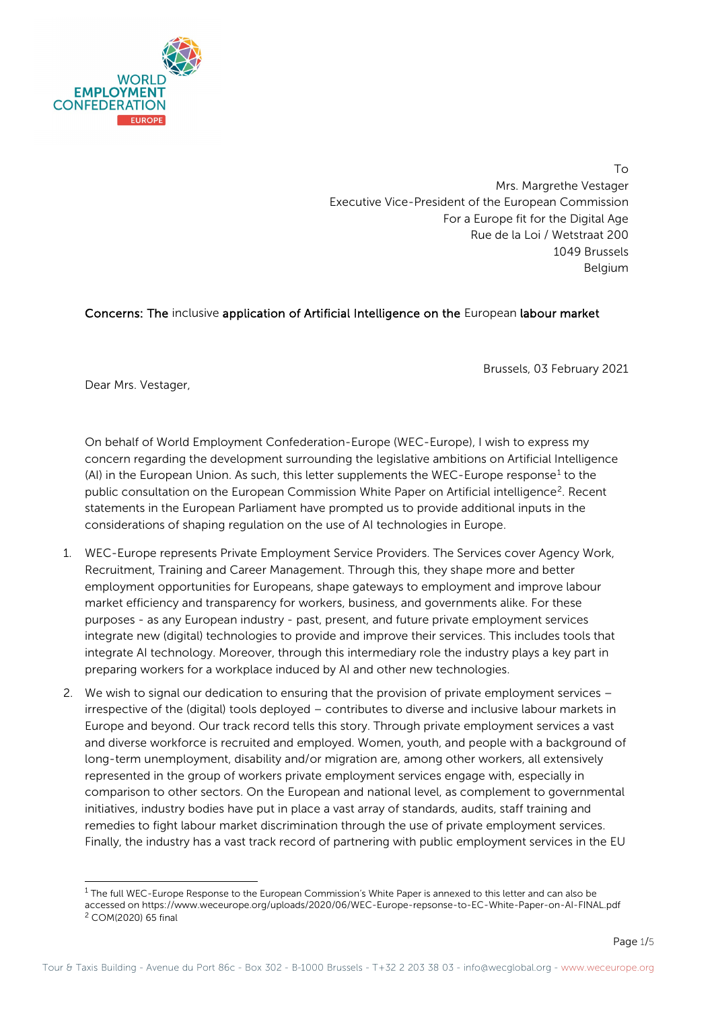

To Mrs. Margrethe Vestager Executive Vice-President of the European Commission For a Europe fit for the Digital Age Rue de la Loi / Wetstraat 200 1049 Brussels Belgium

## Concerns: The inclusive application of Artificial Intelligence on the European labour market

Brussels, 03 February 2021

Dear Mrs. Vestager,

On behalf of World Employment Confederation-Europe (WEC-Europe), I wish to express my concern regarding the development surrounding the legislative ambitions on Artificial Intelligence (AI) in the European Union. As such, this letter supplements the WEC-Europe response<sup>[1](#page-0-0)</sup> to the public consultation on the European Commission White Paper on Artificial intelligence<sup>2</sup>. Recent statements in the European Parliament have prompted us to provide additional inputs in the considerations of shaping regulation on the use of AI technologies in Europe.

- 1. WEC-Europe represents Private Employment Service Providers. The Services cover Agency Work, Recruitment, Training and Career Management. Through this, they shape more and better employment opportunities for Europeans, shape gateways to employment and improve labour market efficiency and transparency for workers, business, and governments alike. For these purposes - as any European industry - past, present, and future private employment services integrate new (digital) technologies to provide and improve their services. This includes tools that integrate AI technology. Moreover, through this intermediary role the industry plays a key part in preparing workers for a workplace induced by AI and other new technologies.
- 2. We wish to signal our dedication to ensuring that the provision of private employment services irrespective of the (digital) tools deployed – contributes to diverse and inclusive labour markets in Europe and beyond. Our track record tells this story. Through private employment services a vast and diverse workforce is recruited and employed. Women, youth, and people with a background of long-term unemployment, disability and/or migration are, among other workers, all extensively represented in the group of workers private employment services engage with, especially in comparison to other sectors. On the European and national level, as complement to governmental initiatives, industry bodies have put in place a vast array of standards, audits, staff training and remedies to fight labour market discrimination through the use of private employment services. Finally, the industry has a vast track record of partnering with public employment services in the EU

<span id="page-0-1"></span><span id="page-0-0"></span><sup>&</sup>lt;sup>1</sup> The full WEC-Europe Response to the European Commission's White Paper is annexed to this letter and can also be accessed on https://www.weceurope.org/uploads/2020/06/WEC-Europe-repsonse-to-EC-White-Paper-on-AI-FINAL.pdf <sup>2</sup> COM(2020) 65 final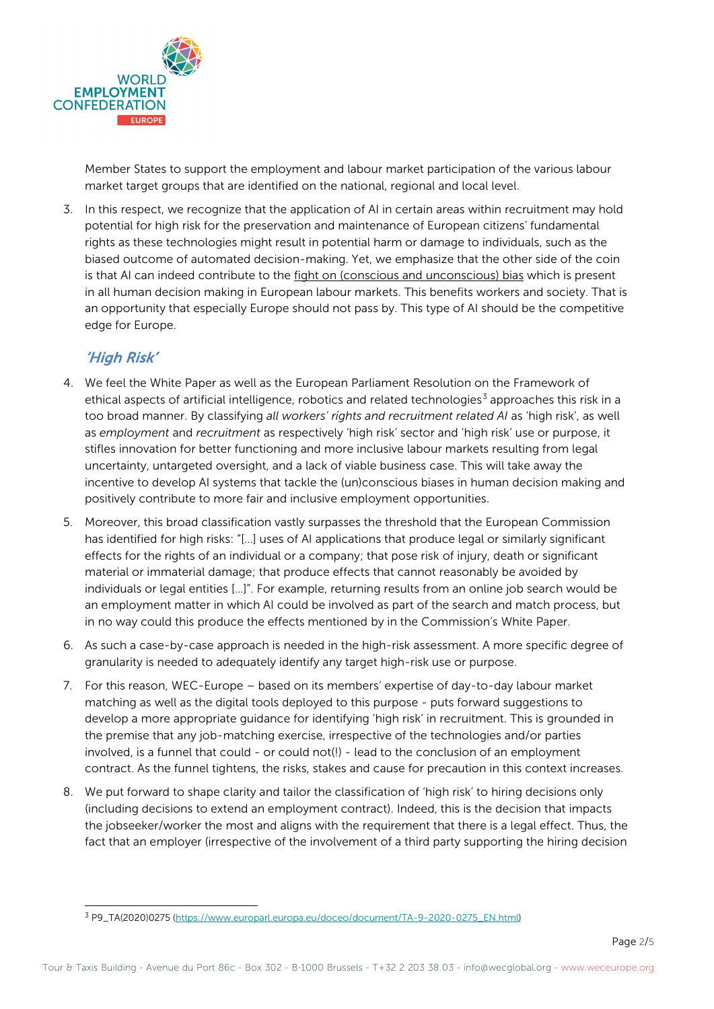

Member States to support the employment and labour market participation of the various labour market target groups that are identified on the national, regional and local level.

3. In this respect, we recognize that the application of AI in certain areas within recruitment may hold potential for high risk for the preservation and maintenance of European citizens' fundamental rights as these technologies might result in potential harm or damage to individuals, such as the biased outcome of automated decision-making. Yet, we emphasize that the other side of the coin is that AI can indeed contribute to the fight on (conscious and unconscious) bias which is present in all human decision making in European labour markets. This benefits workers and society. That is an opportunity that especially Europe should not pass by. This type of AI should be the competitive edge for Europe.

## 'High Risk'

- 4. We feel the White Paper as well as the European Parliament Resolution on the Framework of ethical aspects of artificial intelligence, robotics and related technologies<sup>[3](#page-1-0)</sup> approaches this risk in a too broad manner. By classifying *all workers' rights and recruitment related AI* as 'high risk', as well as *employment* and *recruitment* as respectively 'high risk' sector and 'high risk' use or purpose, it stifles innovation for better functioning and more inclusive labour markets resulting from legal uncertainty, untargeted oversight, and a lack of viable business case. This will take away the incentive to develop AI systems that tackle the (un)conscious biases in human decision making and positively contribute to more fair and inclusive employment opportunities.
- 5. Moreover, this broad classification vastly surpasses the threshold that the European Commission has identified for high risks: "[…] uses of AI applications that produce legal or similarly significant effects for the rights of an individual or a company; that pose risk of injury, death or significant material or immaterial damage; that produce effects that cannot reasonably be avoided by individuals or legal entities […]". For example, returning results from an online job search would be an employment matter in which AI could be involved as part of the search and match process, but in no way could this produce the effects mentioned by in the Commission's White Paper.
- 6. As such a case-by-case approach is needed in the high-risk assessment. A more specific degree of granularity is needed to adequately identify any target high-risk use or purpose.
- 7. For this reason, WEC-Europe based on its members' expertise of day-to-day labour market matching as well as the digital tools deployed to this purpose - puts forward suggestions to develop a more appropriate guidance for identifying 'high risk' in recruitment. This is grounded in the premise that any job-matching exercise, irrespective of the technologies and/or parties involved, is a funnel that could - or could not(!) - lead to the conclusion of an employment contract. As the funnel tightens, the risks, stakes and cause for precaution in this context increases.
- 8. We put forward to shape clarity and tailor the classification of 'high risk' to hiring decisions only (including decisions to extend an employment contract). Indeed, this is the decision that impacts the jobseeker/worker the most and aligns with the requirement that there is a legal effect. Thus, the fact that an employer (irrespective of the involvement of a third party supporting the hiring decision

<span id="page-1-0"></span><sup>3</sup> P9\_TA(2020)0275 [\(https://www.europarl.europa.eu/doceo/document/TA-9-2020-0275\\_EN.html\)](https://www.europarl.europa.eu/doceo/document/TA-9-2020-0275_EN.html)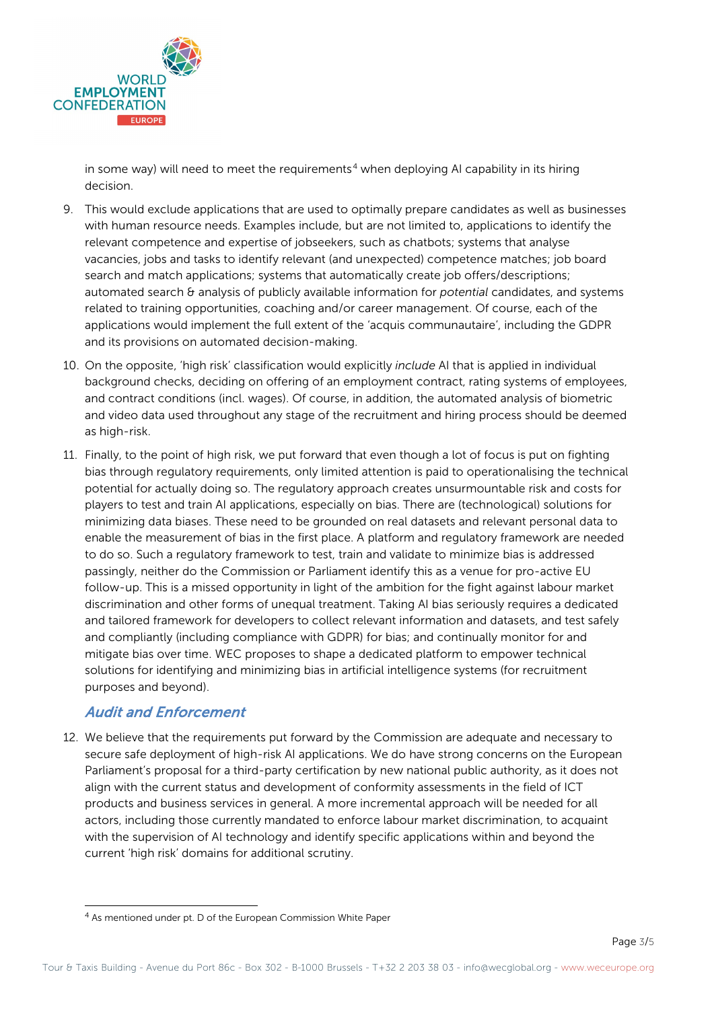

in some way) will need to meet the requirements<sup>[4](#page-2-0)</sup> when deploying AI capability in its hiring decision.

- 9. This would exclude applications that are used to optimally prepare candidates as well as businesses with human resource needs. Examples include, but are not limited to, applications to identify the relevant competence and expertise of jobseekers, such as chatbots; systems that analyse vacancies, jobs and tasks to identify relevant (and unexpected) competence matches; job board search and match applications; systems that automatically create job offers/descriptions; automated search & analysis of publicly available information for *potential* candidates, and systems related to training opportunities, coaching and/or career management. Of course, each of the applications would implement the full extent of the 'acquis communautaire', including the GDPR and its provisions on automated decision-making.
- 10. On the opposite, 'high risk' classification would explicitly *include* AI that is applied in individual background checks, deciding on offering of an employment contract, rating systems of employees, and contract conditions (incl. wages). Of course, in addition, the automated analysis of biometric and video data used throughout any stage of the recruitment and hiring process should be deemed as high-risk.
- 11. Finally, to the point of high risk, we put forward that even though a lot of focus is put on fighting bias through regulatory requirements, only limited attention is paid to operationalising the technical potential for actually doing so. The regulatory approach creates unsurmountable risk and costs for players to test and train AI applications, especially on bias. There are (technological) solutions for minimizing data biases. These need to be grounded on real datasets and relevant personal data to enable the measurement of bias in the first place. A platform and regulatory framework are needed to do so. Such a regulatory framework to test, train and validate to minimize bias is addressed passingly, neither do the Commission or Parliament identify this as a venue for pro-active EU follow-up. This is a missed opportunity in light of the ambition for the fight against labour market discrimination and other forms of unequal treatment. Taking AI bias seriously requires a dedicated and tailored framework for developers to collect relevant information and datasets, and test safely and compliantly (including compliance with GDPR) for bias; and continually monitor for and mitigate bias over time. WEC proposes to shape a dedicated platform to empower technical solutions for identifying and minimizing bias in artificial intelligence systems (for recruitment purposes and beyond).

## Audit and Enforcement

12. We believe that the requirements put forward by the Commission are adequate and necessary to secure safe deployment of high-risk AI applications. We do have strong concerns on the European Parliament's proposal for a third-party certification by new national public authority, as it does not align with the current status and development of conformity assessments in the field of ICT products and business services in general. A more incremental approach will be needed for all actors, including those currently mandated to enforce labour market discrimination, to acquaint with the supervision of AI technology and identify specific applications within and beyond the current 'high risk' domains for additional scrutiny.

<span id="page-2-0"></span><sup>4</sup> As mentioned under pt. D of the European Commission White Paper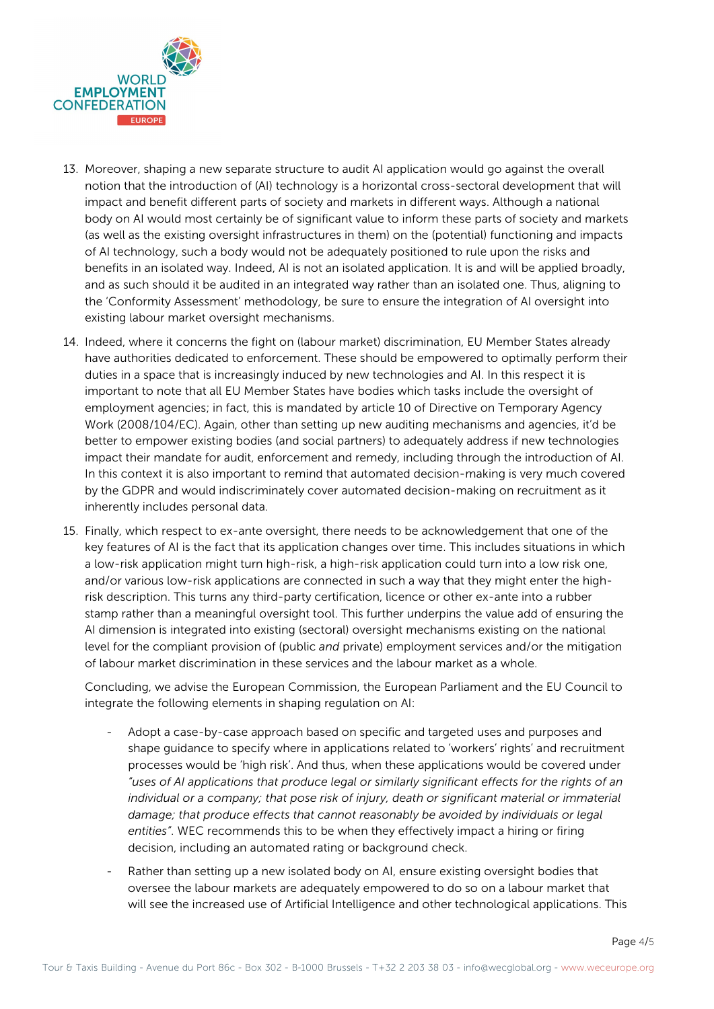

- 13. Moreover, shaping a new separate structure to audit AI application would go against the overall notion that the introduction of (AI) technology is a horizontal cross-sectoral development that will impact and benefit different parts of society and markets in different ways. Although a national body on AI would most certainly be of significant value to inform these parts of society and markets (as well as the existing oversight infrastructures in them) on the (potential) functioning and impacts of AI technology, such a body would not be adequately positioned to rule upon the risks and benefits in an isolated way. Indeed, AI is not an isolated application. It is and will be applied broadly, and as such should it be audited in an integrated way rather than an isolated one. Thus, aligning to the 'Conformity Assessment' methodology, be sure to ensure the integration of AI oversight into existing labour market oversight mechanisms.
- 14. Indeed, where it concerns the fight on (labour market) discrimination, EU Member States already have authorities dedicated to enforcement. These should be empowered to optimally perform their duties in a space that is increasingly induced by new technologies and AI. In this respect it is important to note that all EU Member States have bodies which tasks include the oversight of employment agencies; in fact, this is mandated by article 10 of Directive on Temporary Agency Work (2008/104/EC). Again, other than setting up new auditing mechanisms and agencies, it'd be better to empower existing bodies (and social partners) to adequately address if new technologies impact their mandate for audit, enforcement and remedy, including through the introduction of AI. In this context it is also important to remind that automated decision-making is very much covered by the GDPR and would indiscriminately cover automated decision-making on recruitment as it inherently includes personal data.
- 15. Finally, which respect to ex-ante oversight, there needs to be acknowledgement that one of the key features of AI is the fact that its application changes over time. This includes situations in which a low-risk application might turn high-risk, a high-risk application could turn into a low risk one, and/or various low-risk applications are connected in such a way that they might enter the highrisk description. This turns any third-party certification, licence or other ex-ante into a rubber stamp rather than a meaningful oversight tool. This further underpins the value add of ensuring the AI dimension is integrated into existing (sectoral) oversight mechanisms existing on the national level for the compliant provision of (public *and* private) employment services and/or the mitigation of labour market discrimination in these services and the labour market as a whole.

Concluding, we advise the European Commission, the European Parliament and the EU Council to integrate the following elements in shaping regulation on AI:

- Adopt a case-by-case approach based on specific and targeted uses and purposes and shape guidance to specify where in applications related to 'workers' rights' and recruitment processes would be 'high risk'. And thus, when these applications would be covered under *"uses of AI applications that produce legal or similarly significant effects for the rights of an*  individual or a company; that pose risk of injury, death or significant material or immaterial *damage; that produce effects that cannot reasonably be avoided by individuals or legal entities"*. WEC recommends this to be when they effectively impact a hiring or firing decision, including an automated rating or background check.
- Rather than setting up a new isolated body on AI, ensure existing oversight bodies that oversee the labour markets are adequately empowered to do so on a labour market that will see the increased use of Artificial Intelligence and other technological applications. This